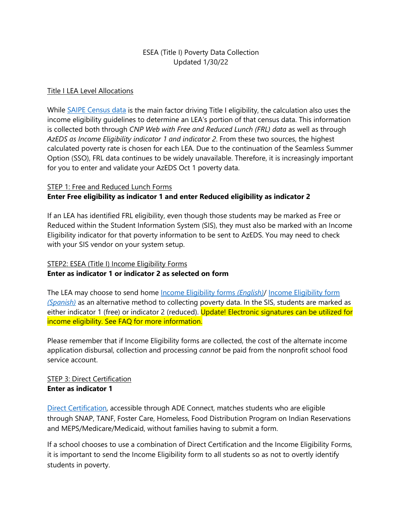# ESEA (Title I) Poverty Data Collection Updated 1/30/22

#### Title I LEA Level Allocations

While [SAIPE Census data](https://www.census.gov/programs-surveys/saipe/data/datasets.html) is the main factor driving Title I eligibility, the calculation also uses the income eligibility guidelines to determine an LEA's portion of that census data. This information is collected both through *CNP Web with Free and Reduced Lunch (FRL) data* as well as through *AzEDS as Income Eligibility indicator 1 and indicator 2*. From these two sources, the highest calculated poverty rate is chosen for each LEA. Due to the continuation of the Seamless Summer Option (SSO), FRL data continues to be widely unavailable. Therefore, it is increasingly important for you to enter and validate your AzEDS Oct 1 poverty data.

#### STEP 1: Free and Reduced Lunch Forms

## **Enter Free eligibility as indicator 1 and enter Reduced eligibility as indicator 2**

If an LEA has identified FRL eligibility, even though those students may be marked as Free or Reduced within the Student Information System (SIS), they must also be marked with an Income Eligibility indicator for that poverty information to be sent to AzEDS. You may need to check with your SIS vendor on your system setup.

# STEP2: ESEA (Title I) Income Eligibility Forms **Enter as indicator 1 or indicator 2 as selected on form**

The LEA may choose to send home [Income Eligibility forms](https://www.azed.gov/sites/default/files/2021/06/Income%20Eligibility%201%20%26%202%20FY22%20Guidelines.pdf) *(English)*/ [Income Eligibility form](https://www.azed.gov/sites/default/files/2021/06/Income%20Eligibility%201%20%26%202%20FY22%20Guidelines%20-%20Spanish_0.pdf) *[\(Spanish\)](https://www.azed.gov/sites/default/files/2021/06/Income%20Eligibility%201%20%26%202%20FY22%20Guidelines%20-%20Spanish_0.pdf)* as an alternative method to collecting poverty data. In the SIS, students are marked as either indicator 1 (free) or indicator 2 (reduced). Update! Electronic signatures can be utilized for income eligibility. See FAQ for more information.

Please remember that if Income Eligibility forms are collected, the cost of the alternate income application disbursal, collection and processing *cannot* be paid from the nonprofit school food service account.

## STEP 3: Direct Certification **Enter as indicator 1**

[Direct Certification,](https://www.azed.gov/sites/default/files/2017/03/HowtoConductDCUsingStateMatch_0.pdf) accessible through ADE Connect, matches students who are eligible through SNAP, TANF, Foster Care, Homeless, Food Distribution Program on Indian Reservations and MEPS/Medicare/Medicaid, without families having to submit a form.

If a school chooses to use a combination of Direct Certification and the Income Eligibility Forms, it is important to send the Income Eligibility form to all students so as not to overtly identify students in poverty.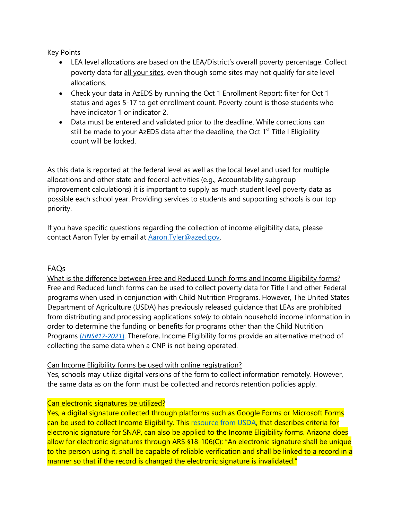Key Points

- LEA level allocations are based on the LEA/District's overall poverty percentage. Collect poverty data for all your sites, even though some sites may not qualify for site level allocations.
- Check your data in AzEDS by running the Oct 1 Enrollment Report: filter for Oct 1 status and ages 5-17 to get enrollment count. Poverty count is those students who have indicator 1 or indicator 2.
- Data must be entered and validated prior to the deadline. While corrections can still be made to your AzEDS data after the deadline, the Oct  $1<sup>st</sup>$  Title I Eligibility count will be locked.

As this data is reported at the federal level as well as the local level and used for multiple allocations and other state and federal activities (e.g., Accountability subgroup improvement calculations) it is important to supply as much student level poverty data as possible each school year. Providing services to students and supporting schools is our top priority.

If you have specific questions regarding the collection of income eligibility data, please contact Aaron Tyler by email at Aaron. Tyler@azed.gov.

## FAQs

What is the difference between Free and Reduced Lunch forms and Income Eligibility forms? Free and Reduced lunch forms can be used to collect poverty data for Title I and other Federal programs when used in conjunction with Child Nutrition Programs. However, The United States Department of Agriculture (USDA) has previously released guidance that LEAs are prohibited from distributing and processing applications *solely* to obtain household income information in order to determine the funding or benefits for programs other than the Child Nutrition Programs (*[HNS#17-2021](https://www.azed.gov/sites/default/files/2021/07/HNS%2017-2021%20Collecting%20Free%20and%20Reduced-Price%20Meal%20Applications%20in%20School%20Year%202021-2022.pdf)*). Therefore, Income Eligibility forms provide an alternative method of collecting the same data when a CNP is not being operated.

## Can Income Eligibility forms be used with online registration?

Yes, schools may utilize digital versions of the form to collect information remotely. However, the same data as on the form must be collected and records retention policies apply.

## Can electronic signatures be utilized?

Yes, a digital signature collected through platforms such as Google Forms or Microsoft Forms can be used to collect Income Eligibility. This [resource from USDA,](https://www.fns.usda.gov/snap/electronic-signatures-memo) that describes criteria for electronic signature for SNAP, can also be applied to the Income Eligibility forms. Arizona does allow for electronic signatures through ARS §18-106(C): "An electronic signature shall be unique to the person using it, shall be capable of reliable verification and shall be linked to a record in a manner so that if the record is changed the electronic signature is invalidated."